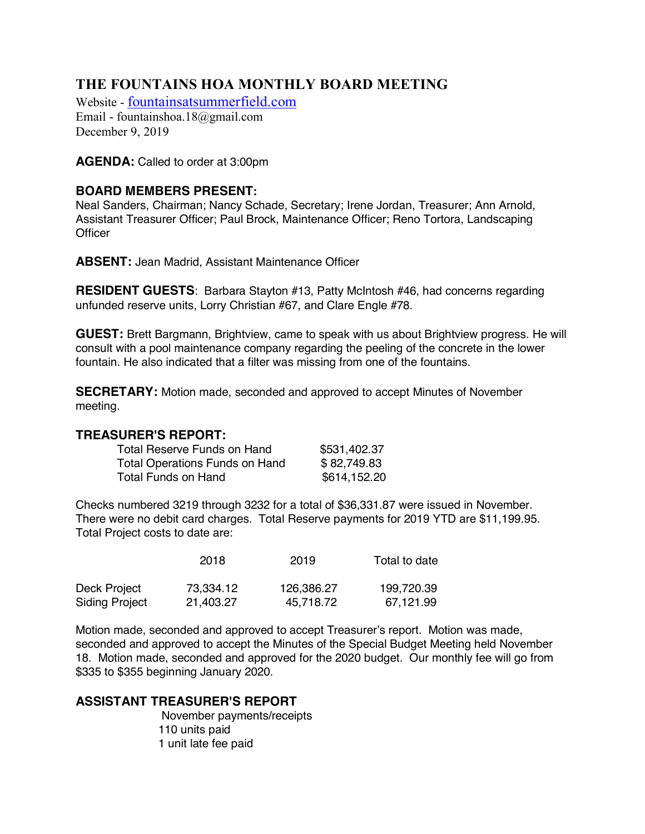# **THE FOUNTAINS HOA MONTHLY BOARD MEETING**

Website - fountainsatsummerfield.com Email - fountainshoa.18@gmail.com December 9, 2019

**AGENDA:** Called to order at 3:00pm

# **BOARD MEMBERS PRESENT:**

Neal Sanders, Chairman; Nancy Schade, Secretary; Irene Jordan, Treasurer; Ann Arnold, Assistant Treasurer Officer; Paul Brock, Maintenance Officer; Reno Tortora, Landscaping **Officer** 

**ABSENT:** Jean Madrid, Assistant Maintenance Officer

**RESIDENT GUESTS**: Barbara Stayton #13, Patty McIntosh #46, had concerns regarding unfunded reserve units, Lorry Christian #67, and Clare Engle #78.

**GUEST:** Brett Bargmann, Brightview, came to speak with us about Brightview progress. He will consult with a pool maintenance company regarding the peeling of the concrete in the lower fountain. He also indicated that a filter was missing from one of the fountains.

**SECRETARY:** Motion made, seconded and approved to accept Minutes of November meeting.

#### **TREASURER'S REPORT:**

| Total Reserve Funds on Hand    | \$531,402.37 |
|--------------------------------|--------------|
| Total Operations Funds on Hand | \$82,749.83  |
| Total Funds on Hand            | \$614,152.20 |

Checks numbered 3219 through 3232 for a total of \$36,331.87 were issued in November. There were no debit card charges. Total Reserve payments for 2019 YTD are \$11,199.95. Total Project costs to date are:

|                | 2018      | 2019       | Total to date |
|----------------|-----------|------------|---------------|
| Deck Project   | 73,334.12 | 126,386.27 | 199,720.39    |
| Siding Project | 21,403.27 | 45.718.72  | 67,121.99     |

Motion made, seconded and approved to accept Treasurer's report. Motion was made, seconded and approved to accept the Minutes of the Special Budget Meeting held November 18. Motion made, seconded and approved for the 2020 budget. Our monthly fee will go from \$335 to \$355 beginning January 2020.

# **ASSISTANT TREASURER'S REPORT**

November payments/receipts 110 units paid 1 unit late fee paid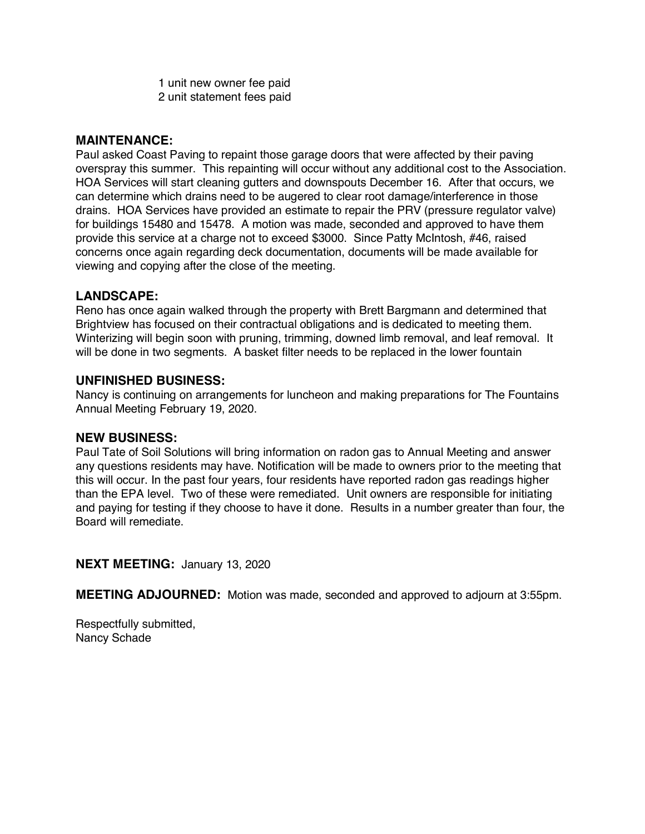1 unit new owner fee paid 2 unit statement fees paid

# **MAINTENANCE:**

Paul asked Coast Paving to repaint those garage doors that were affected by their paving overspray this summer. This repainting will occur without any additional cost to the Association. HOA Services will start cleaning gutters and downspouts December 16. After that occurs, we can determine which drains need to be augered to clear root damage/interference in those drains. HOA Services have provided an estimate to repair the PRV (pressure regulator valve) for buildings 15480 and 15478. A motion was made, seconded and approved to have them provide this service at a charge not to exceed \$3000. Since Patty McIntosh, #46, raised concerns once again regarding deck documentation, documents will be made available for viewing and copying after the close of the meeting.

#### **LANDSCAPE:**

Reno has once again walked through the property with Brett Bargmann and determined that Brightview has focused on their contractual obligations and is dedicated to meeting them. Winterizing will begin soon with pruning, trimming, downed limb removal, and leaf removal. It will be done in two segments. A basket filter needs to be replaced in the lower fountain

#### **UNFINISHED BUSINESS:**

Nancy is continuing on arrangements for luncheon and making preparations for The Fountains Annual Meeting February 19, 2020.

#### **NEW BUSINESS:**

Paul Tate of Soil Solutions will bring information on radon gas to Annual Meeting and answer any questions residents may have. Notification will be made to owners prior to the meeting that this will occur. In the past four years, four residents have reported radon gas readings higher than the EPA level. Two of these were remediated. Unit owners are responsible for initiating and paying for testing if they choose to have it done. Results in a number greater than four, the Board will remediate.

#### **NEXT MEETING:** January 13, 2020

**MEETING ADJOURNED:** Motion was made, seconded and approved to adjourn at 3:55pm.

Respectfully submitted, Nancy Schade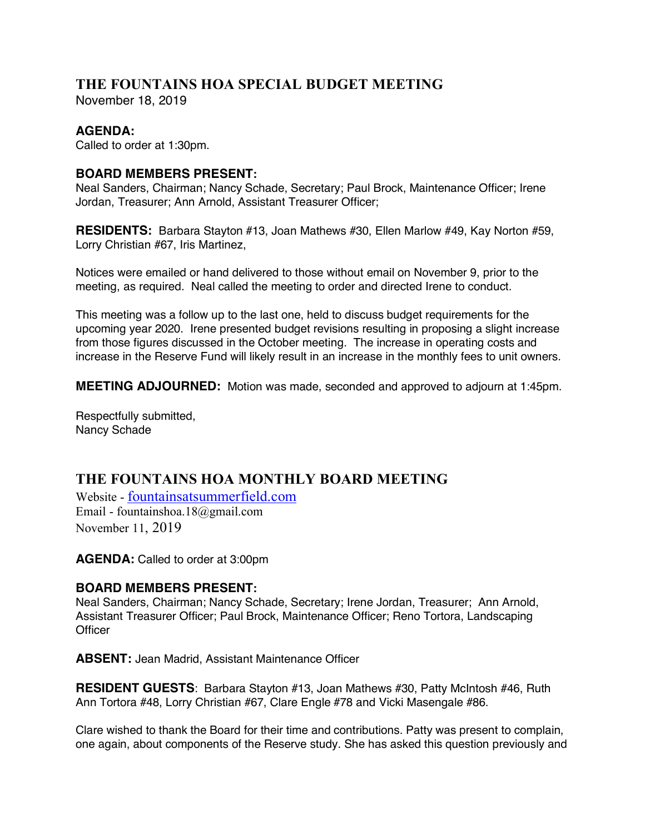# **THE FOUNTAINS HOA SPECIAL BUDGET MEETING**

November 18, 2019

# **AGENDA:**

Called to order at 1:30pm.

# **BOARD MEMBERS PRESENT:**

Neal Sanders, Chairman; Nancy Schade, Secretary; Paul Brock, Maintenance Officer; Irene Jordan, Treasurer; Ann Arnold, Assistant Treasurer Officer;

**RESIDENTS:** Barbara Stayton #13, Joan Mathews #30, Ellen Marlow #49, Kay Norton #59, Lorry Christian #67, Iris Martinez,

Notices were emailed or hand delivered to those without email on November 9, prior to the meeting, as required. Neal called the meeting to order and directed Irene to conduct.

This meeting was a follow up to the last one, held to discuss budget requirements for the upcoming year 2020. Irene presented budget revisions resulting in proposing a slight increase from those figures discussed in the October meeting. The increase in operating costs and increase in the Reserve Fund will likely result in an increase in the monthly fees to unit owners.

**MEETING ADJOURNED:** Motion was made, seconded and approved to adjourn at 1:45pm.

Respectfully submitted, Nancy Schade

# **THE FOUNTAINS HOA MONTHLY BOARD MEETING**

Website - fountainsatsummerfield.com Email - fountainshoa.18@gmail.com November 11, 2019

**AGENDA:** Called to order at 3:00pm

# **BOARD MEMBERS PRESENT:**

Neal Sanders, Chairman; Nancy Schade, Secretary; Irene Jordan, Treasurer; Ann Arnold, Assistant Treasurer Officer; Paul Brock, Maintenance Officer; Reno Tortora, Landscaping **Officer** 

**ABSENT:** Jean Madrid, Assistant Maintenance Officer

**RESIDENT GUESTS**: Barbara Stayton #13, Joan Mathews #30, Patty McIntosh #46, Ruth Ann Tortora #48, Lorry Christian #67, Clare Engle #78 and Vicki Masengale #86.

Clare wished to thank the Board for their time and contributions. Patty was present to complain, one again, about components of the Reserve study. She has asked this question previously and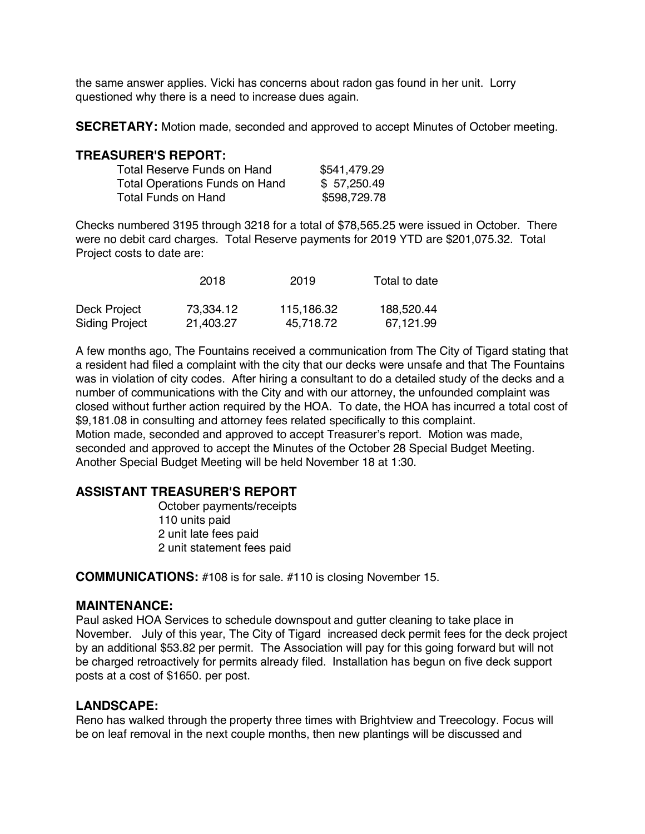the same answer applies. Vicki has concerns about radon gas found in her unit. Lorry questioned why there is a need to increase dues again.

**SECRETARY:** Motion made, seconded and approved to accept Minutes of October meeting.

#### **TREASURER'S REPORT:**

| Total Reserve Funds on Hand           | \$541,479.29 |
|---------------------------------------|--------------|
| <b>Total Operations Funds on Hand</b> | \$57,250.49  |
| Total Funds on Hand                   | \$598,729.78 |

Checks numbered 3195 through 3218 for a total of \$78,565.25 were issued in October. There were no debit card charges. Total Reserve payments for 2019 YTD are \$201,075.32. Total Project costs to date are:

|                       | 2018      | 2019       | Total to date |
|-----------------------|-----------|------------|---------------|
| Deck Project          | 73.334.12 | 115,186.32 | 188,520.44    |
| <b>Siding Project</b> | 21,403.27 | 45,718.72  | 67,121.99     |

A few months ago, The Fountains received a communication from The City of Tigard stating that a resident had filed a complaint with the city that our decks were unsafe and that The Fountains was in violation of city codes. After hiring a consultant to do a detailed study of the decks and a number of communications with the City and with our attorney, the unfounded complaint was closed without further action required by the HOA. To date, the HOA has incurred a total cost of \$9,181.08 in consulting and attorney fees related specifically to this complaint. Motion made, seconded and approved to accept Treasurer's report. Motion was made, seconded and approved to accept the Minutes of the October 28 Special Budget Meeting. Another Special Budget Meeting will be held November 18 at 1:30.

# **ASSISTANT TREASURER'S REPORT**

October payments/receipts 110 units paid 2 unit late fees paid 2 unit statement fees paid

**COMMUNICATIONS:** #108 is for sale. #110 is closing November 15.

#### **MAINTENANCE:**

Paul asked HOA Services to schedule downspout and gutter cleaning to take place in November. July of this year, The City of Tigard increased deck permit fees for the deck project by an additional \$53.82 per permit. The Association will pay for this going forward but will not be charged retroactively for permits already filed. Installation has begun on five deck support posts at a cost of \$1650. per post.

#### **LANDSCAPE:**

Reno has walked through the property three times with Brightview and Treecology. Focus will be on leaf removal in the next couple months, then new plantings will be discussed and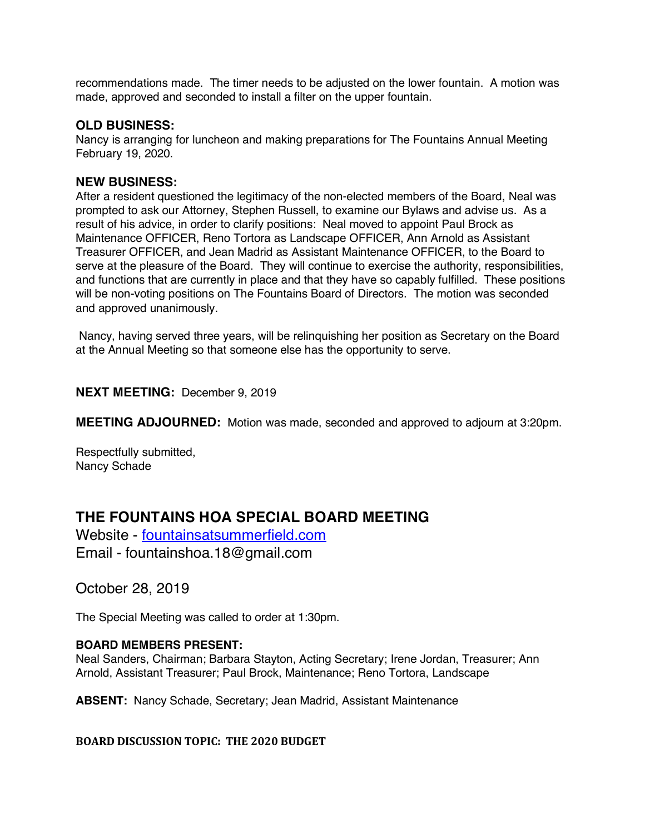recommendations made. The timer needs to be adjusted on the lower fountain. A motion was made, approved and seconded to install a filter on the upper fountain.

#### **OLD BUSINESS:**

Nancy is arranging for luncheon and making preparations for The Fountains Annual Meeting February 19, 2020.

#### **NEW BUSINESS:**

After a resident questioned the legitimacy of the non-elected members of the Board, Neal was prompted to ask our Attorney, Stephen Russell, to examine our Bylaws and advise us. As a result of his advice, in order to clarify positions: Neal moved to appoint Paul Brock as Maintenance OFFICER, Reno Tortora as Landscape OFFICER, Ann Arnold as Assistant Treasurer OFFICER, and Jean Madrid as Assistant Maintenance OFFICER, to the Board to serve at the pleasure of the Board. They will continue to exercise the authority, responsibilities, and functions that are currently in place and that they have so capably fulfilled. These positions will be non-voting positions on The Fountains Board of Directors. The motion was seconded and approved unanimously.

Nancy, having served three years, will be relinquishing her position as Secretary on the Board at the Annual Meeting so that someone else has the opportunity to serve.

**NEXT MEETING:** December 9, 2019

**MEETING ADJOURNED:** Motion was made, seconded and approved to adjourn at 3:20pm.

Respectfully submitted, Nancy Schade

# **THE FOUNTAINS HOA SPECIAL BOARD MEETING**

Website - fountainsatsummerfield.com Email - fountainshoa.18@gmail.com

October 28, 2019

The Special Meeting was called to order at 1:30pm.

#### **BOARD MEMBERS PRESENT:**

Neal Sanders, Chairman; Barbara Stayton, Acting Secretary; Irene Jordan, Treasurer; Ann Arnold, Assistant Treasurer; Paul Brock, Maintenance; Reno Tortora, Landscape

**ABSENT:** Nancy Schade, Secretary; Jean Madrid, Assistant Maintenance

#### **BOARD DISCUSSION TOPIC: THE 2020 BUDGET**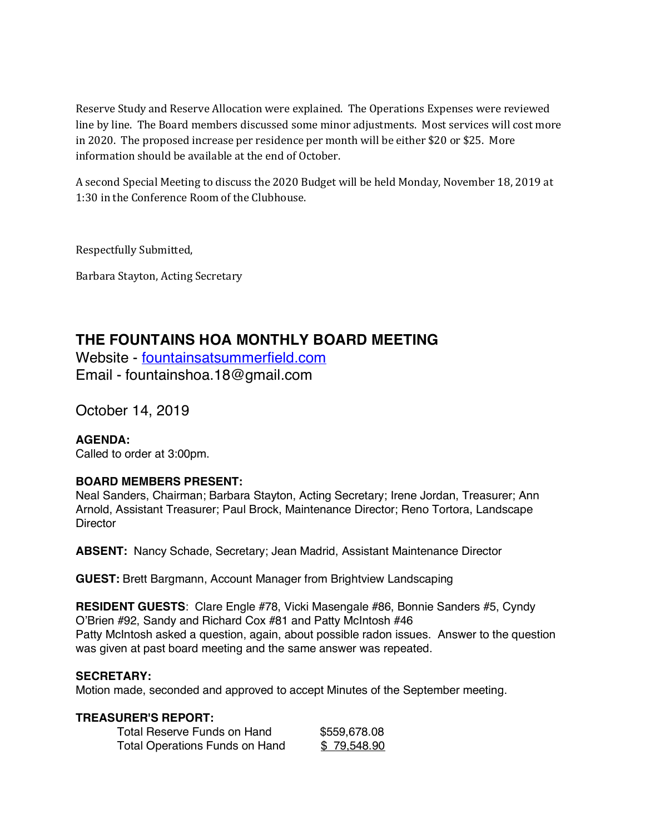Reserve Study and Reserve Allocation were explained. The Operations Expenses were reviewed line by line. The Board members discussed some minor adjustments. Most services will cost more in 2020. The proposed increase per residence per month will be either \$20 or \$25. More information should be available at the end of October.

A second Special Meeting to discuss the 2020 Budget will be held Monday, November 18, 2019 at 1:30 in the Conference Room of the Clubhouse.

Respectfully Submitted,

Barbara Stayton, Acting Secretary

# **THE FOUNTAINS HOA MONTHLY BOARD MEETING**

Website - fountainsatsummerfield.com Email - fountainshoa.18@gmail.com

October 14, 2019

**AGENDA:** Called to order at 3:00pm.

# **BOARD MEMBERS PRESENT:**

Neal Sanders, Chairman; Barbara Stayton, Acting Secretary; Irene Jordan, Treasurer; Ann Arnold, Assistant Treasurer; Paul Brock, Maintenance Director; Reno Tortora, Landscape **Director** 

**ABSENT:** Nancy Schade, Secretary; Jean Madrid, Assistant Maintenance Director

**GUEST:** Brett Bargmann, Account Manager from Brightview Landscaping

**RESIDENT GUESTS**: Clare Engle #78, Vicki Masengale #86, Bonnie Sanders #5, Cyndy O'Brien #92, Sandy and Richard Cox #81 and Patty McIntosh #46 Patty McIntosh asked a question, again, about possible radon issues. Answer to the question was given at past board meeting and the same answer was repeated.

#### **SECRETARY:**

Motion made, seconded and approved to accept Minutes of the September meeting.

#### **TREASURER'S REPORT:**

| Total Reserve Funds on Hand    | \$559,678.08 |
|--------------------------------|--------------|
| Total Operations Funds on Hand | \$79,548.90  |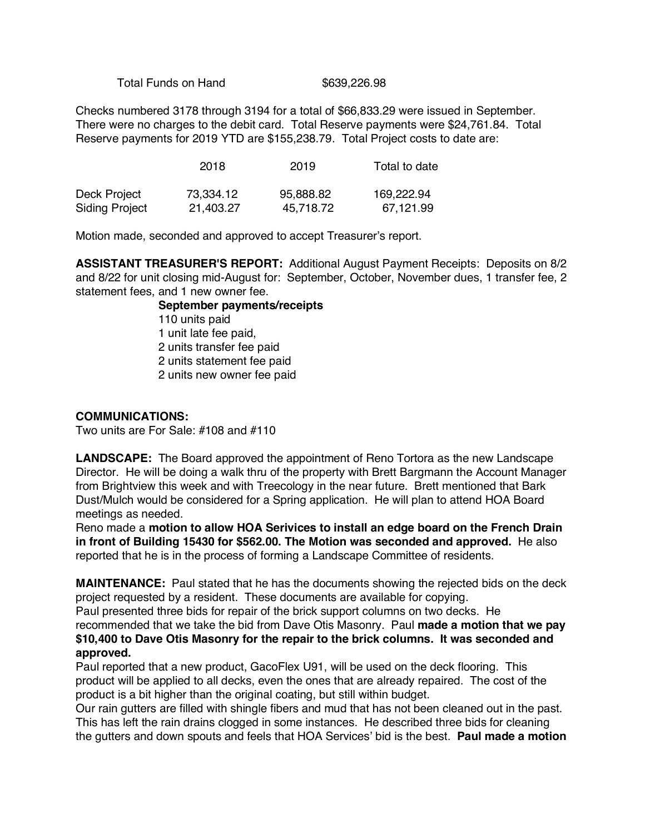Total Funds on Hand \$639,226.98

Checks numbered 3178 through 3194 for a total of \$66,833.29 were issued in September. There were no charges to the debit card. Total Reserve payments were \$24,761.84. Total Reserve payments for 2019 YTD are \$155,238.79. Total Project costs to date are:

|                       | 2018      | 2019      | Total to date |
|-----------------------|-----------|-----------|---------------|
| Deck Project          | 73,334.12 | 95,888.82 | 169,222.94    |
| <b>Siding Project</b> | 21,403.27 | 45.718.72 | 67,121.99     |

Motion made, seconded and approved to accept Treasurer's report.

**ASSISTANT TREASURER'S REPORT:** Additional August Payment Receipts: Deposits on 8/2 and 8/22 for unit closing mid-August for: September, October, November dues, 1 transfer fee, 2 statement fees, and 1 new owner fee.

> **September payments/receipts** 110 units paid 1 unit late fee paid, 2 units transfer fee paid 2 units statement fee paid 2 units new owner fee paid

#### **COMMUNICATIONS:**

Two units are For Sale: #108 and #110

**LANDSCAPE:** The Board approved the appointment of Reno Tortora as the new Landscape Director. He will be doing a walk thru of the property with Brett Bargmann the Account Manager from Brightview this week and with Treecology in the near future. Brett mentioned that Bark Dust/Mulch would be considered for a Spring application. He will plan to attend HOA Board meetings as needed.

Reno made a **motion to allow HOA Serivices to install an edge board on the French Drain in front of Building 15430 for \$562.00. The Motion was seconded and approved.** He also reported that he is in the process of forming a Landscape Committee of residents.

**MAINTENANCE:** Paul stated that he has the documents showing the rejected bids on the deck project requested by a resident. These documents are available for copying.

Paul presented three bids for repair of the brick support columns on two decks. He recommended that we take the bid from Dave Otis Masonry. Paul **made a motion that we pay \$10,400 to Dave Otis Masonry for the repair to the brick columns. It was seconded and approved.**

Paul reported that a new product, GacoFlex U91, will be used on the deck flooring. This product will be applied to all decks, even the ones that are already repaired. The cost of the product is a bit higher than the original coating, but still within budget.

Our rain gutters are filled with shingle fibers and mud that has not been cleaned out in the past. This has left the rain drains clogged in some instances. He described three bids for cleaning the gutters and down spouts and feels that HOA Services' bid is the best. **Paul made a motion**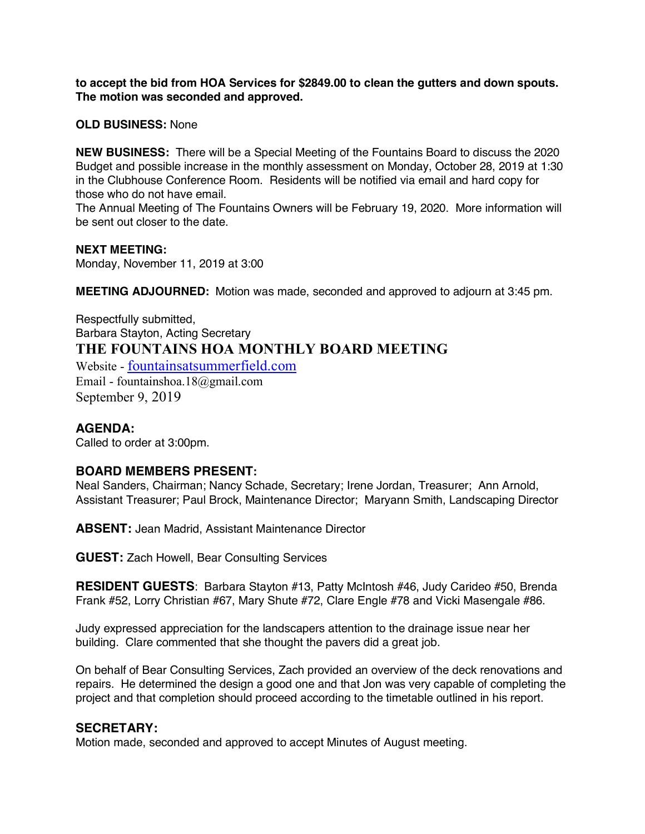**to accept the bid from HOA Services for \$2849.00 to clean the gutters and down spouts. The motion was seconded and approved.** 

**OLD BUSINESS:** None

**NEW BUSINESS:** There will be a Special Meeting of the Fountains Board to discuss the 2020 Budget and possible increase in the monthly assessment on Monday, October 28, 2019 at 1:30 in the Clubhouse Conference Room. Residents will be notified via email and hard copy for those who do not have email.

The Annual Meeting of The Fountains Owners will be February 19, 2020. More information will be sent out closer to the date.

#### **NEXT MEETING:**

Monday, November 11, 2019 at 3:00

**MEETING ADJOURNED:** Motion was made, seconded and approved to adjourn at 3:45 pm.

Respectfully submitted, Barbara Stayton, Acting Secretary **THE FOUNTAINS HOA MONTHLY BOARD MEETING** Website - fountainsatsummerfield.com

Email - fountainshoa.18@gmail.com September 9, 2019

# **AGENDA:**

Called to order at 3:00pm.

#### **BOARD MEMBERS PRESENT:**

Neal Sanders, Chairman; Nancy Schade, Secretary; Irene Jordan, Treasurer; Ann Arnold, Assistant Treasurer; Paul Brock, Maintenance Director; Maryann Smith, Landscaping Director

**ABSENT:** Jean Madrid, Assistant Maintenance Director

**GUEST:** Zach Howell, Bear Consulting Services

**RESIDENT GUESTS**: Barbara Stayton #13, Patty McIntosh #46, Judy Carideo #50, Brenda Frank #52, Lorry Christian #67, Mary Shute #72, Clare Engle #78 and Vicki Masengale #86.

Judy expressed appreciation for the landscapers attention to the drainage issue near her building. Clare commented that she thought the pavers did a great job.

On behalf of Bear Consulting Services, Zach provided an overview of the deck renovations and repairs. He determined the design a good one and that Jon was very capable of completing the project and that completion should proceed according to the timetable outlined in his report.

#### **SECRETARY:**

Motion made, seconded and approved to accept Minutes of August meeting.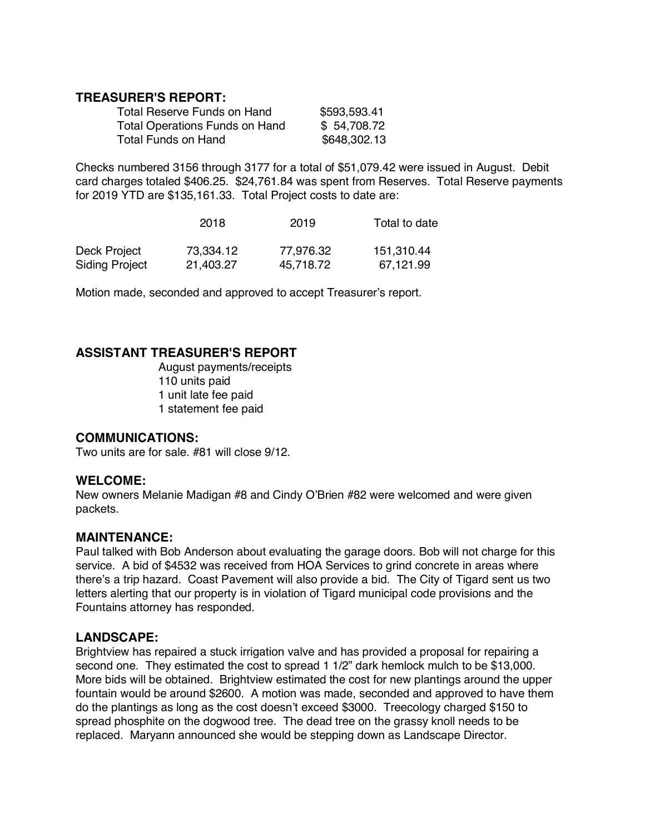# **TREASURER'S REPORT:**

| Total Reserve Funds on Hand    | \$593,593.41 |
|--------------------------------|--------------|
| Total Operations Funds on Hand | \$54,708.72  |
| Total Funds on Hand            | \$648,302.13 |

Checks numbered 3156 through 3177 for a total of \$51,079.42 were issued in August. Debit card charges totaled \$406.25. \$24,761.84 was spent from Reserves. Total Reserve payments for 2019 YTD are \$135,161.33. Total Project costs to date are:

|                       | 2018      | 2019      | Total to date |
|-----------------------|-----------|-----------|---------------|
| Deck Project          | 73,334.12 | 77,976.32 | 151,310.44    |
| <b>Siding Project</b> | 21.403.27 | 45.718.72 | 67,121.99     |

Motion made, seconded and approved to accept Treasurer's report.

# **ASSISTANT TREASURER'S REPORT**

August payments/receipts 110 units paid 1 unit late fee paid 1 statement fee paid

#### **COMMUNICATIONS:**

Two units are for sale. #81 will close 9/12.

#### **WELCOME:**

New owners Melanie Madigan #8 and Cindy O'Brien #82 were welcomed and were given packets.

#### **MAINTENANCE:**

Paul talked with Bob Anderson about evaluating the garage doors. Bob will not charge for this service. A bid of \$4532 was received from HOA Services to grind concrete in areas where there's a trip hazard. Coast Pavement will also provide a bid. The City of Tigard sent us two letters alerting that our property is in violation of Tigard municipal code provisions and the Fountains attorney has responded.

#### **LANDSCAPE:**

Brightview has repaired a stuck irrigation valve and has provided a proposal for repairing a second one. They estimated the cost to spread 1 1/2" dark hemlock mulch to be \$13,000. More bids will be obtained. Brightview estimated the cost for new plantings around the upper fountain would be around \$2600. A motion was made, seconded and approved to have them do the plantings as long as the cost doesn't exceed \$3000. Treecology charged \$150 to spread phosphite on the dogwood tree. The dead tree on the grassy knoll needs to be replaced. Maryann announced she would be stepping down as Landscape Director.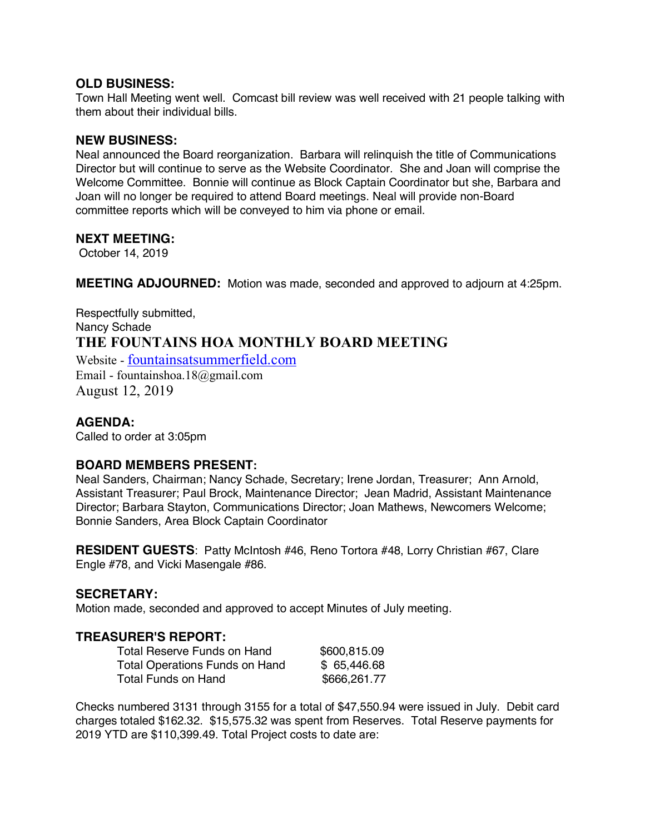# **OLD BUSINESS:**

Town Hall Meeting went well. Comcast bill review was well received with 21 people talking with them about their individual bills.

# **NEW BUSINESS:**

Neal announced the Board reorganization. Barbara will relinquish the title of Communications Director but will continue to serve as the Website Coordinator. She and Joan will comprise the Welcome Committee. Bonnie will continue as Block Captain Coordinator but she, Barbara and Joan will no longer be required to attend Board meetings. Neal will provide non-Board committee reports which will be conveyed to him via phone or email.

# **NEXT MEETING:**

October 14, 2019

**MEETING ADJOURNED:** Motion was made, seconded and approved to adjourn at 4:25pm.

Respectfully submitted, Nancy Schade **THE FOUNTAINS HOA MONTHLY BOARD MEETING** Website - fountainsatsummerfield.com Email - fountainshoa.18@gmail.com August 12, 2019

# **AGENDA:**

Called to order at 3:05pm

# **BOARD MEMBERS PRESENT:**

Neal Sanders, Chairman; Nancy Schade, Secretary; Irene Jordan, Treasurer; Ann Arnold, Assistant Treasurer; Paul Brock, Maintenance Director; Jean Madrid, Assistant Maintenance Director; Barbara Stayton, Communications Director; Joan Mathews, Newcomers Welcome; Bonnie Sanders, Area Block Captain Coordinator

**RESIDENT GUESTS**: Patty McIntosh #46, Reno Tortora #48, Lorry Christian #67, Clare Engle #78, and Vicki Masengale #86.

#### **SECRETARY:**

Motion made, seconded and approved to accept Minutes of July meeting.

# **TREASURER'S REPORT:**

| Total Reserve Funds on Hand    | \$600,815.09 |
|--------------------------------|--------------|
| Total Operations Funds on Hand | \$65,446.68  |
| Total Funds on Hand            | \$666,261.77 |

Checks numbered 3131 through 3155 for a total of \$47,550.94 were issued in July. Debit card charges totaled \$162.32. \$15,575.32 was spent from Reserves. Total Reserve payments for 2019 YTD are \$110,399.49. Total Project costs to date are: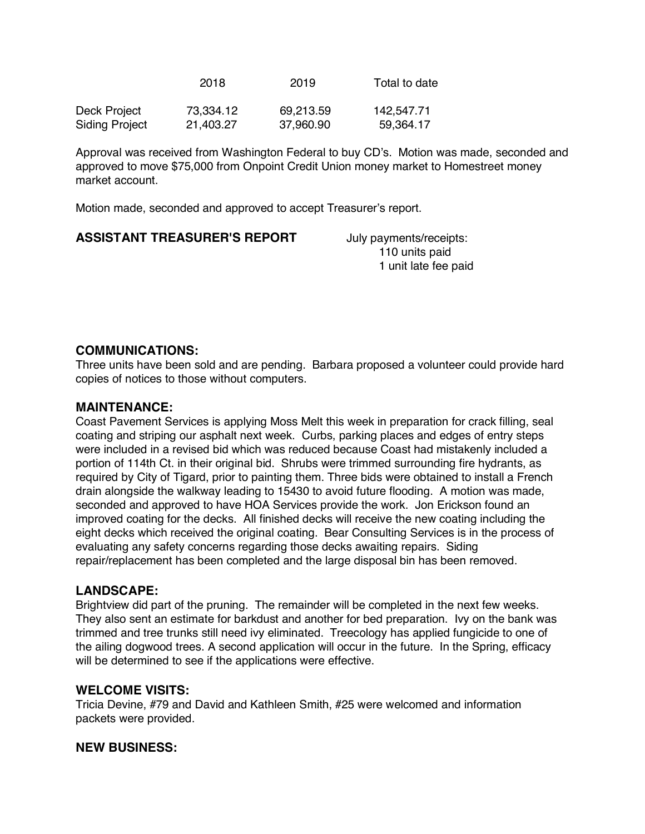|                | 2018      | 2019      | Total to date |
|----------------|-----------|-----------|---------------|
| Deck Project   | 73,334.12 | 69,213.59 | 142,547.71    |
| Siding Project | 21,403.27 | 37,960.90 | 59,364.17     |

Approval was received from Washington Federal to buy CD's. Motion was made, seconded and approved to move \$75,000 from Onpoint Credit Union money market to Homestreet money market account.

Motion made, seconded and approved to accept Treasurer's report.

| <b>ASSISTANT TREASURER'S REPORT</b> | July payments/receipts: |
|-------------------------------------|-------------------------|
|                                     | 110 units paid          |
|                                     | 1 unit late fee paid    |

# **COMMUNICATIONS:**

Three units have been sold and are pending. Barbara proposed a volunteer could provide hard copies of notices to those without computers.

# **MAINTENANCE:**

Coast Pavement Services is applying Moss Melt this week in preparation for crack filling, seal coating and striping our asphalt next week. Curbs, parking places and edges of entry steps were included in a revised bid which was reduced because Coast had mistakenly included a portion of 114th Ct. in their original bid. Shrubs were trimmed surrounding fire hydrants, as required by City of Tigard, prior to painting them. Three bids were obtained to install a French drain alongside the walkway leading to 15430 to avoid future flooding. A motion was made, seconded and approved to have HOA Services provide the work. Jon Erickson found an improved coating for the decks. All finished decks will receive the new coating including the eight decks which received the original coating. Bear Consulting Services is in the process of evaluating any safety concerns regarding those decks awaiting repairs. Siding repair/replacement has been completed and the large disposal bin has been removed.

# **LANDSCAPE:**

Brightview did part of the pruning. The remainder will be completed in the next few weeks. They also sent an estimate for barkdust and another for bed preparation. Ivy on the bank was trimmed and tree trunks still need ivy eliminated. Treecology has applied fungicide to one of the ailing dogwood trees. A second application will occur in the future. In the Spring, efficacy will be determined to see if the applications were effective.

#### **WELCOME VISITS:**

Tricia Devine, #79 and David and Kathleen Smith, #25 were welcomed and information packets were provided.

# **NEW BUSINESS:**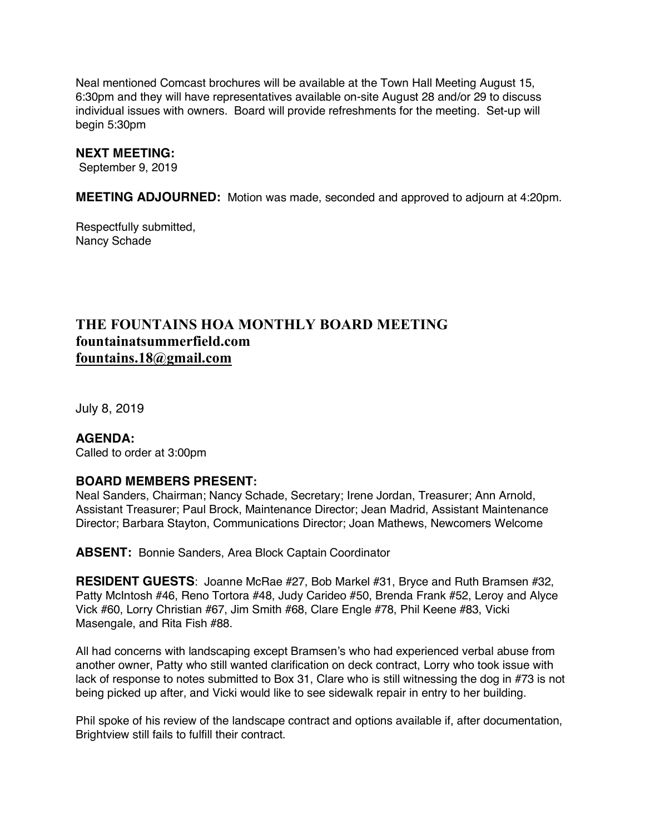Neal mentioned Comcast brochures will be available at the Town Hall Meeting August 15, 6:30pm and they will have representatives available on-site August 28 and/or 29 to discuss individual issues with owners. Board will provide refreshments for the meeting. Set-up will begin 5:30pm

#### **NEXT MEETING:**

September 9, 2019

**MEETING ADJOURNED:** Motion was made, seconded and approved to adjourn at 4:20pm.

Respectfully submitted, Nancy Schade

# **THE FOUNTAINS HOA MONTHLY BOARD MEETING fountainatsummerfield.com fountains.18@gmail.com**

July 8, 2019

**AGENDA:** Called to order at 3:00pm

#### **BOARD MEMBERS PRESENT:**

Neal Sanders, Chairman; Nancy Schade, Secretary; Irene Jordan, Treasurer; Ann Arnold, Assistant Treasurer; Paul Brock, Maintenance Director; Jean Madrid, Assistant Maintenance Director; Barbara Stayton, Communications Director; Joan Mathews, Newcomers Welcome

**ABSENT:** Bonnie Sanders, Area Block Captain Coordinator

**RESIDENT GUESTS**: Joanne McRae #27, Bob Markel #31, Bryce and Ruth Bramsen #32, Patty McIntosh #46, Reno Tortora #48, Judy Carideo #50, Brenda Frank #52, Leroy and Alyce Vick #60, Lorry Christian #67, Jim Smith #68, Clare Engle #78, Phil Keene #83, Vicki Masengale, and Rita Fish #88.

All had concerns with landscaping except Bramsen's who had experienced verbal abuse from another owner, Patty who still wanted clarification on deck contract, Lorry who took issue with lack of response to notes submitted to Box 31, Clare who is still witnessing the dog in #73 is not being picked up after, and Vicki would like to see sidewalk repair in entry to her building.

Phil spoke of his review of the landscape contract and options available if, after documentation, Brightview still fails to fulfill their contract.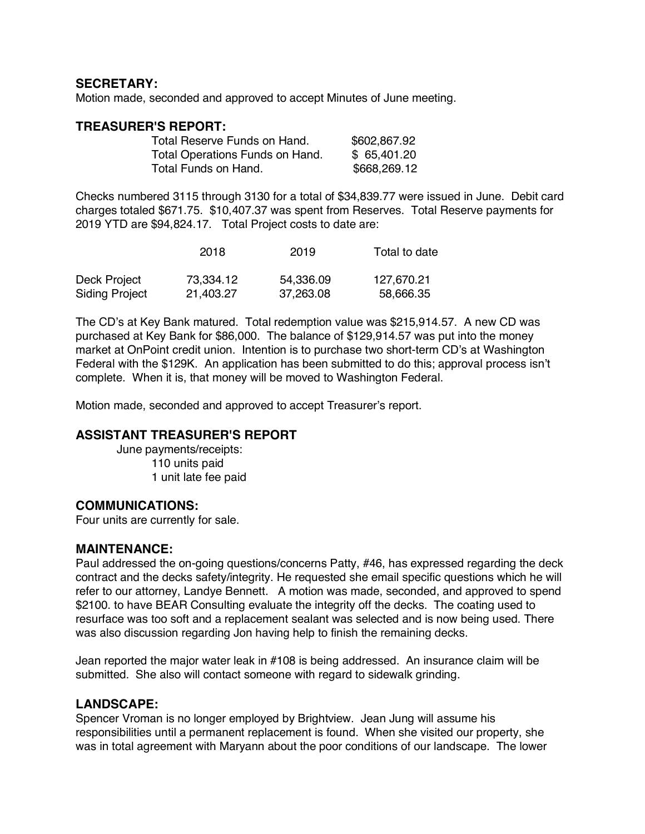# **SECRETARY:**

Motion made, seconded and approved to accept Minutes of June meeting.

#### **TREASURER'S REPORT:**

| Total Reserve Funds on Hand.    | \$602,867.92 |
|---------------------------------|--------------|
| Total Operations Funds on Hand. | \$65,401.20  |
| Total Funds on Hand.            | \$668,269.12 |

Checks numbered 3115 through 3130 for a total of \$34,839.77 were issued in June. Debit card charges totaled \$671.75. \$10,407.37 was spent from Reserves. Total Reserve payments for 2019 YTD are \$94,824.17. Total Project costs to date are:

|                       | 2018      | 2019      | Total to date |
|-----------------------|-----------|-----------|---------------|
| Deck Project          | 73.334.12 | 54.336.09 | 127,670.21    |
| <b>Siding Project</b> | 21,403.27 | 37.263.08 | 58,666.35     |

The CD's at Key Bank matured. Total redemption value was \$215,914.57. A new CD was purchased at Key Bank for \$86,000. The balance of \$129,914.57 was put into the money market at OnPoint credit union. Intention is to purchase two short-term CD's at Washington Federal with the \$129K. An application has been submitted to do this; approval process isn't complete. When it is, that money will be moved to Washington Federal.

Motion made, seconded and approved to accept Treasurer's report.

#### **ASSISTANT TREASURER'S REPORT**

June payments/receipts: 110 units paid 1 unit late fee paid

#### **COMMUNICATIONS:**

Four units are currently for sale.

#### **MAINTENANCE:**

Paul addressed the on-going questions/concerns Patty, #46, has expressed regarding the deck contract and the decks safety/integrity. He requested she email specific questions which he will refer to our attorney, Landye Bennett. A motion was made, seconded, and approved to spend \$2100. to have BEAR Consulting evaluate the integrity off the decks. The coating used to resurface was too soft and a replacement sealant was selected and is now being used. There was also discussion regarding Jon having help to finish the remaining decks.

Jean reported the major water leak in #108 is being addressed. An insurance claim will be submitted. She also will contact someone with regard to sidewalk grinding.

#### **LANDSCAPE:**

Spencer Vroman is no longer employed by Brightview. Jean Jung will assume his responsibilities until a permanent replacement is found. When she visited our property, she was in total agreement with Maryann about the poor conditions of our landscape. The lower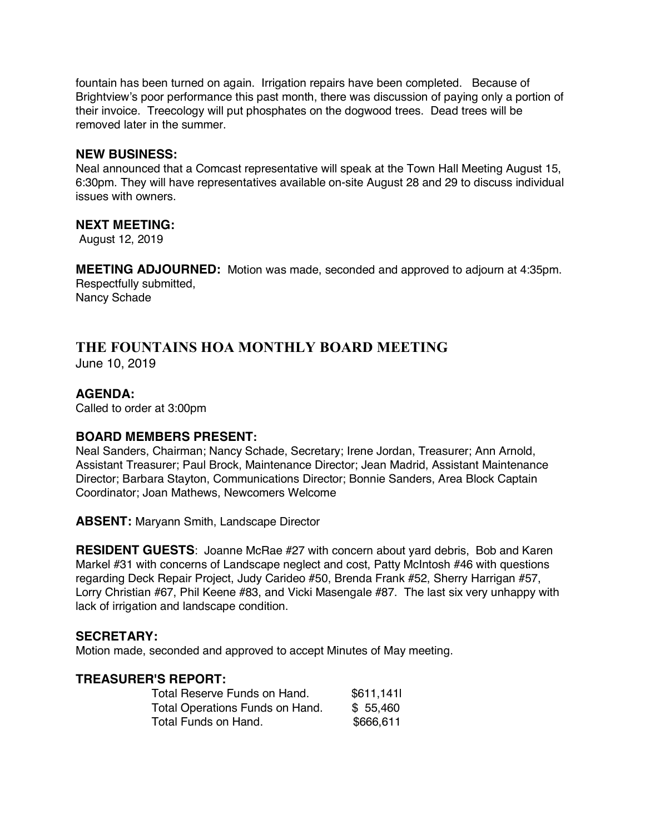fountain has been turned on again. Irrigation repairs have been completed. Because of Brightview's poor performance this past month, there was discussion of paying only a portion of their invoice. Treecology will put phosphates on the dogwood trees. Dead trees will be removed later in the summer.

#### **NEW BUSINESS:**

Neal announced that a Comcast representative will speak at the Town Hall Meeting August 15, 6:30pm. They will have representatives available on-site August 28 and 29 to discuss individual issues with owners.

#### **NEXT MEETING:**

August 12, 2019

**MEETING ADJOURNED:** Motion was made, seconded and approved to adjourn at 4:35pm. Respectfully submitted, Nancy Schade

# **THE FOUNTAINS HOA MONTHLY BOARD MEETING**

June 10, 2019

# **AGENDA:**

Called to order at 3:00pm

# **BOARD MEMBERS PRESENT:**

Neal Sanders, Chairman; Nancy Schade, Secretary; Irene Jordan, Treasurer; Ann Arnold, Assistant Treasurer; Paul Brock, Maintenance Director; Jean Madrid, Assistant Maintenance Director; Barbara Stayton, Communications Director; Bonnie Sanders, Area Block Captain Coordinator; Joan Mathews, Newcomers Welcome

**ABSENT:** Maryann Smith, Landscape Director

**RESIDENT GUESTS**: Joanne McRae #27 with concern about yard debris, Bob and Karen Markel #31 with concerns of Landscape neglect and cost, Patty McIntosh #46 with questions regarding Deck Repair Project, Judy Carideo #50, Brenda Frank #52, Sherry Harrigan #57, Lorry Christian #67, Phil Keene #83, and Vicki Masengale #87. The last six very unhappy with lack of irrigation and landscape condition.

#### **SECRETARY:**

Motion made, seconded and approved to accept Minutes of May meeting.

#### **TREASURER'S REPORT:**

| Total Reserve Funds on Hand.    | \$611,141 |
|---------------------------------|-----------|
| Total Operations Funds on Hand. | \$55,460  |
| Total Funds on Hand.            | \$666,611 |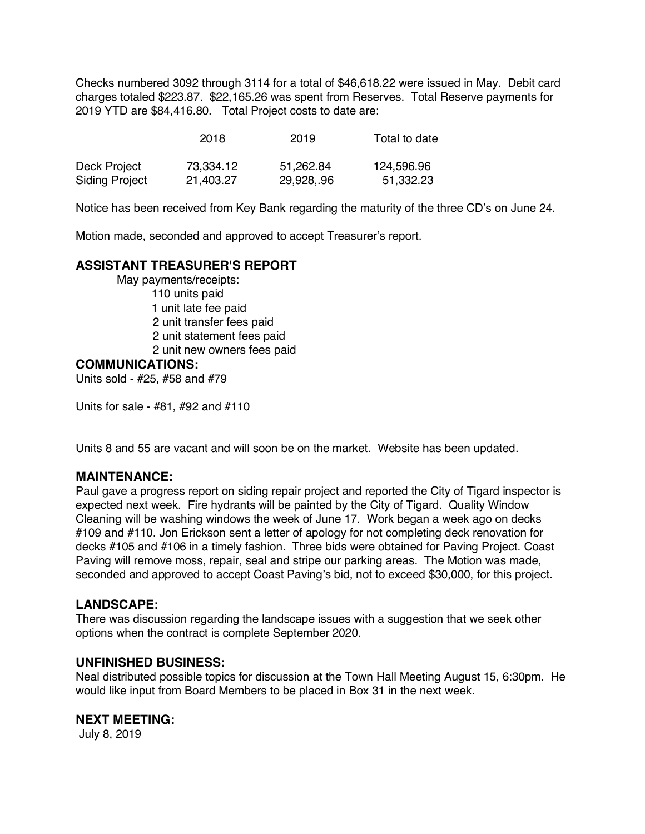Checks numbered 3092 through 3114 for a total of \$46,618.22 were issued in May. Debit card charges totaled \$223.87. \$22,165.26 was spent from Reserves. Total Reserve payments for 2019 YTD are \$84,416.80. Total Project costs to date are:

|                       | 2018      | 2019       | Total to date |
|-----------------------|-----------|------------|---------------|
| Deck Project          | 73.334.12 | 51.262.84  | 124,596.96    |
| <b>Siding Project</b> | 21.403.27 | 29,928,.96 | 51,332.23     |

Notice has been received from Key Bank regarding the maturity of the three CD's on June 24.

Motion made, seconded and approved to accept Treasurer's report.

# **ASSISTANT TREASURER'S REPORT**

May payments/receipts: 110 units paid 1 unit late fee paid 2 unit transfer fees paid 2 unit statement fees paid 2 unit new owners fees paid

#### **COMMUNICATIONS:**

Units sold - #25, #58 and #79

Units for sale - #81, #92 and #110

Units 8 and 55 are vacant and will soon be on the market. Website has been updated.

#### **MAINTENANCE:**

Paul gave a progress report on siding repair project and reported the City of Tigard inspector is expected next week. Fire hydrants will be painted by the City of Tigard. Quality Window Cleaning will be washing windows the week of June 17. Work began a week ago on decks #109 and #110. Jon Erickson sent a letter of apology for not completing deck renovation for decks #105 and #106 in a timely fashion. Three bids were obtained for Paving Project. Coast Paving will remove moss, repair, seal and stripe our parking areas. The Motion was made, seconded and approved to accept Coast Paving's bid, not to exceed \$30,000, for this project.

#### **LANDSCAPE:**

There was discussion regarding the landscape issues with a suggestion that we seek other options when the contract is complete September 2020.

#### **UNFINISHED BUSINESS:**

Neal distributed possible topics for discussion at the Town Hall Meeting August 15, 6:30pm. He would like input from Board Members to be placed in Box 31 in the next week.

# **NEXT MEETING:**

July 8, 2019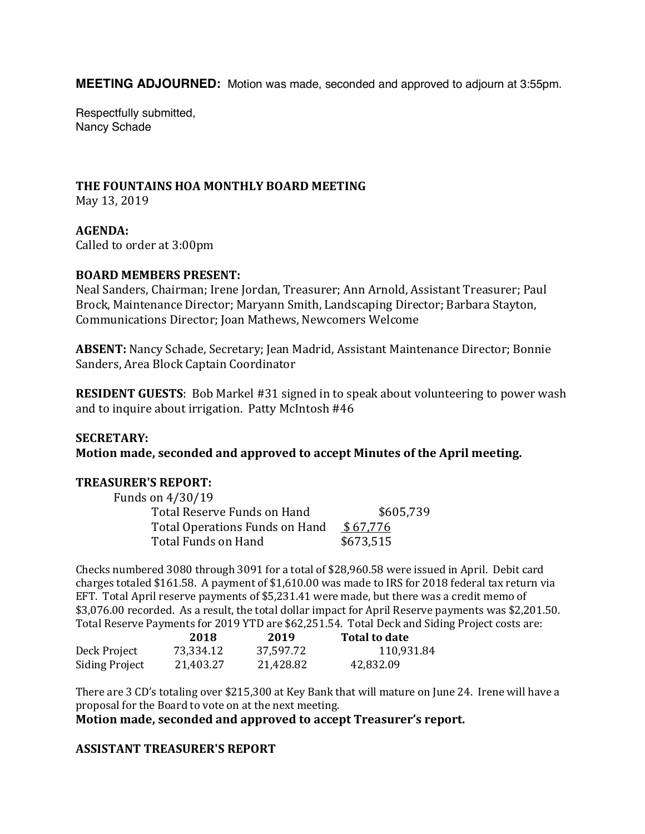**MEETING ADJOURNED:** Motion was made, seconded and approved to adjourn at 3:55pm.

Respectfully submitted, Nancy Schade

#### **THE FOUNTAINS HOA MONTHLY BOARD MEETING**

May 13, 2019

**AGENDA:** Called to order at 3:00pm

#### **BOARD MEMBERS PRESENT:**

Neal Sanders, Chairman; Irene Jordan, Treasurer; Ann Arnold, Assistant Treasurer; Paul Brock, Maintenance Director; Maryann Smith, Landscaping Director; Barbara Stayton, Communications Director; Joan Mathews, Newcomers Welcome 

**ABSENT:** Nancy Schade, Secretary; Jean Madrid, Assistant Maintenance Director; Bonnie Sanders, Area Block Captain Coordinator

**RESIDENT GUESTS:** Bob Markel #31 signed in to speak about volunteering to power wash and to inquire about irrigation. Patty McIntosh  $#46$ 

#### **SECRETARY:**

**Motion made, seconded and approved to accept Minutes of the April meeting.** 

#### **TREASURER'S REPORT:**

| Funds on 4/30/19               |           |
|--------------------------------|-----------|
| Total Reserve Funds on Hand    | \$605,739 |
| Total Operations Funds on Hand | \$67,776  |
| Total Funds on Hand            | \$673,515 |

Checks numbered 3080 through 3091 for a total of \$28,960.58 were issued in April. Debit card charges totaled \$161.58. A payment of \$1,610.00 was made to IRS for 2018 federal tax return via EFT. Total April reserve payments of \$5,231.41 were made, but there was a credit memo of \$3,076.00 recorded. As a result, the total dollar impact for April Reserve payments was \$2,201.50. Total Reserve Payments for 2019 YTD are \$62,251.54. Total Deck and Siding Project costs are:

|                       | 2018      | 2019      | Total to date |
|-----------------------|-----------|-----------|---------------|
| Deck Project          | 73.334.12 | 37,597.72 | 110.931.84    |
| <b>Siding Project</b> | 21.403.27 | 21.428.82 | 42.832.09     |

There are 3 CD's totaling over \$215,300 at Key Bank that will mature on June 24. Irene will have a proposal for the Board to vote on at the next meeting.

**Motion made, seconded and approved to accept Treasurer's report.** 

# **ASSISTANT TREASURER'S REPORT**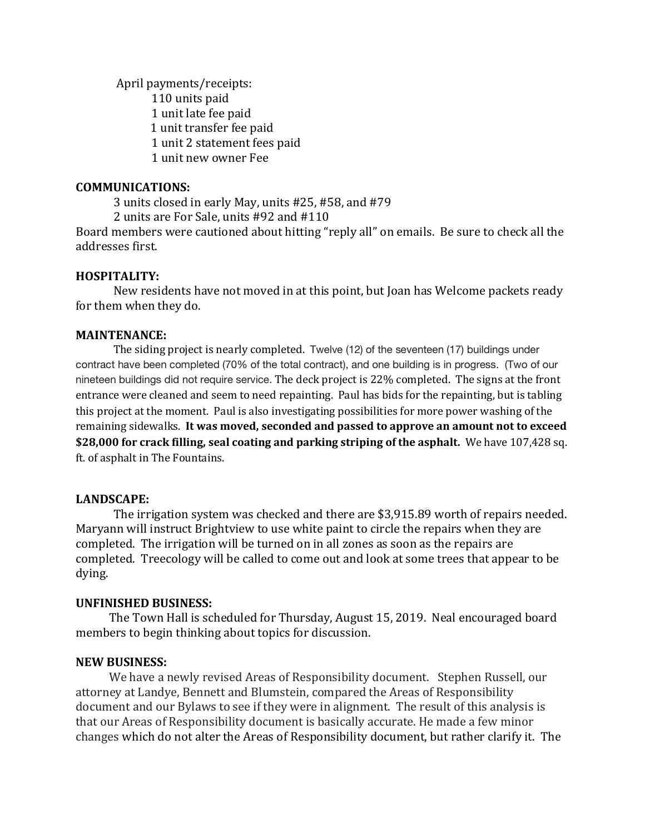April payments/receipts: 110 units paid 1 unit late fee paid 1 unit transfer fee paid 1 unit 2 statement fees paid 1 unit new owner Fee

#### **COMMUNICATIONS:**

3 units closed in early May, units #25, #58, and #79

2 units are For Sale, units #92 and #110

Board members were cautioned about hitting "reply all" on emails. Be sure to check all the addresses first.

#### **HOSPITALITY:**

New residents have not moved in at this point, but Joan has Welcome packets ready for them when they do.

#### **MAINTENANCE:**

The siding project is nearly completed. Twelve (12) of the seventeen (17) buildings under contract have been completed (70% of the total contract), and one building is in progress. (Two of our nineteen buildings did not require service. The deck project is 22% completed. The signs at the front entrance were cleaned and seem to need repainting. Paul has bids for the repainting, but is tabling this project at the moment. Paul is also investigating possibilities for more power washing of the remaining sidewalks. It was moved, seconded and passed to approve an amount not to exceed **\$28,000** for crack filling, seal coating and parking striping of the asphalt. We have 107,428 sq. ft. of asphalt in The Fountains.

#### **LANDSCAPE:**

The irrigation system was checked and there are \$3,915.89 worth of repairs needed. Maryann will instruct Brightview to use white paint to circle the repairs when they are completed. The irrigation will be turned on in all zones as soon as the repairs are completed. Treecology will be called to come out and look at some trees that appear to be dying. 

#### **UNFINISHED BUSINESS:**

The Town Hall is scheduled for Thursday, August 15, 2019. Neal encouraged board members to begin thinking about topics for discussion.

#### **NEW BUSINESS:**

We have a newly revised Areas of Responsibility document. Stephen Russell, our attorney at Landye, Bennett and Blumstein, compared the Areas of Responsibility document and our Bylaws to see if they were in alignment. The result of this analysis is that our Areas of Responsibility document is basically accurate. He made a few minor changes which do not alter the Areas of Responsibility document, but rather clarify it. The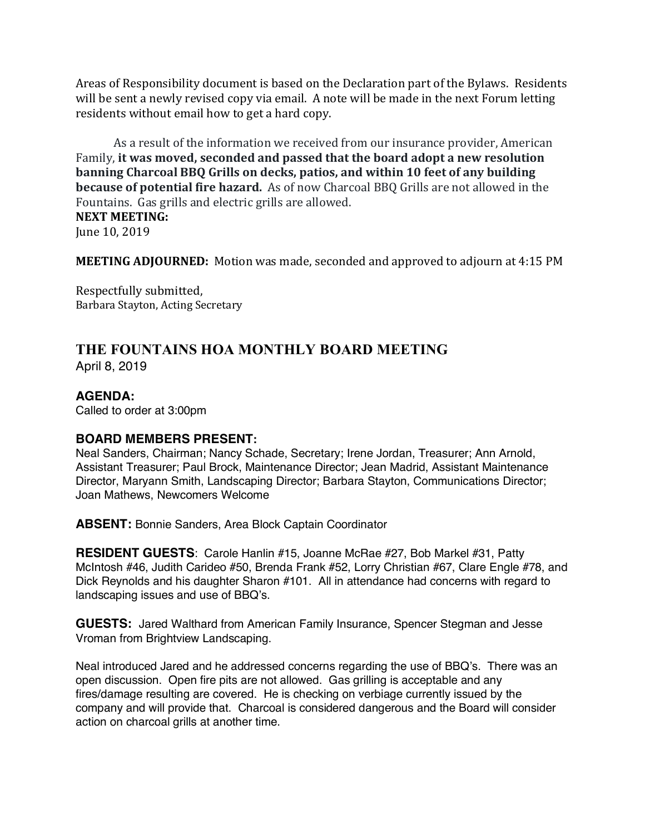Areas of Responsibility document is based on the Declaration part of the Bylaws. Residents will be sent a newly revised copy via email. A note will be made in the next Forum letting residents without email how to get a hard copy.

As a result of the information we received from our insurance provider, American Family, it was moved, seconded and passed that the board adopt a new resolution **banning Charcoal BBQ Grills on decks, patios, and within 10 feet of any building because of potential fire hazard.** As of now Charcoal BBQ Grills are not allowed in the Fountains. Gas grills and electric grills are allowed. **NEXT MEETING:** 

June 10, 2019

**MEETING ADJOURNED:** Motion was made, seconded and approved to adjourn at 4:15 PM

Respectfully submitted, Barbara Stayton, Acting Secretary

# **THE FOUNTAINS HOA MONTHLY BOARD MEETING** April 8, 2019

# **AGENDA:**

Called to order at 3:00pm

# **BOARD MEMBERS PRESENT:**

Neal Sanders, Chairman; Nancy Schade, Secretary; Irene Jordan, Treasurer; Ann Arnold, Assistant Treasurer; Paul Brock, Maintenance Director; Jean Madrid, Assistant Maintenance Director, Maryann Smith, Landscaping Director; Barbara Stayton, Communications Director; Joan Mathews, Newcomers Welcome

**ABSENT:** Bonnie Sanders, Area Block Captain Coordinator

**RESIDENT GUESTS**: Carole Hanlin #15, Joanne McRae #27, Bob Markel #31, Patty McIntosh #46, Judith Carideo #50, Brenda Frank #52, Lorry Christian #67, Clare Engle #78, and Dick Reynolds and his daughter Sharon #101. All in attendance had concerns with regard to landscaping issues and use of BBQ's.

**GUESTS:** Jared Walthard from American Family Insurance, Spencer Stegman and Jesse Vroman from Brightview Landscaping.

Neal introduced Jared and he addressed concerns regarding the use of BBQ's. There was an open discussion. Open fire pits are not allowed. Gas grilling is acceptable and any fires/damage resulting are covered. He is checking on verbiage currently issued by the company and will provide that. Charcoal is considered dangerous and the Board will consider action on charcoal grills at another time.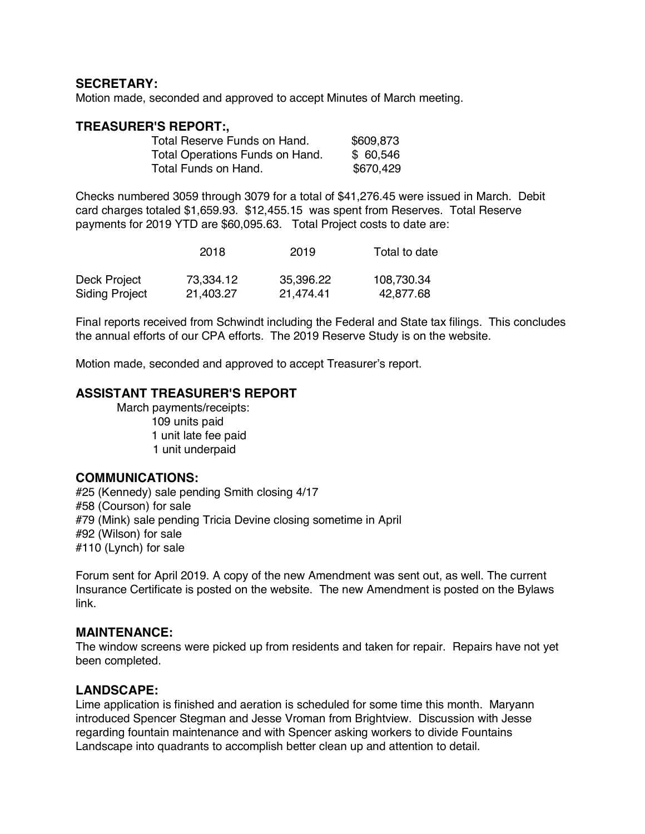# **SECRETARY:**

Motion made, seconded and approved to accept Minutes of March meeting.

#### **TREASURER'S REPORT:,**

| Total Reserve Funds on Hand.    | \$609,873 |
|---------------------------------|-----------|
| Total Operations Funds on Hand. | \$60,546  |
| Total Funds on Hand.            | \$670,429 |

Checks numbered 3059 through 3079 for a total of \$41,276.45 were issued in March. Debit card charges totaled \$1,659.93. \$12,455.15 was spent from Reserves. Total Reserve payments for 2019 YTD are \$60,095.63. Total Project costs to date are:

|                       | 2018      | 2019      | Total to date |
|-----------------------|-----------|-----------|---------------|
| Deck Project          | 73.334.12 | 35,396.22 | 108,730.34    |
| <b>Siding Project</b> | 21,403.27 | 21.474.41 | 42,877.68     |

Final reports received from Schwindt including the Federal and State tax filings. This concludes the annual efforts of our CPA efforts. The 2019 Reserve Study is on the website.

Motion made, seconded and approved to accept Treasurer's report.

# **ASSISTANT TREASURER'S REPORT**

March payments/receipts: 109 units paid 1 unit late fee paid 1 unit underpaid

#### **COMMUNICATIONS:**

#25 (Kennedy) sale pending Smith closing 4/17 #58 (Courson) for sale #79 (Mink) sale pending Tricia Devine closing sometime in April #92 (Wilson) for sale #110 (Lynch) for sale

Forum sent for April 2019. A copy of the new Amendment was sent out, as well. The current Insurance Certificate is posted on the website. The new Amendment is posted on the Bylaws link.

# **MAINTENANCE:**

The window screens were picked up from residents and taken for repair. Repairs have not yet been completed.

#### **LANDSCAPE:**

Lime application is finished and aeration is scheduled for some time this month. Maryann introduced Spencer Stegman and Jesse Vroman from Brightview. Discussion with Jesse regarding fountain maintenance and with Spencer asking workers to divide Fountains Landscape into quadrants to accomplish better clean up and attention to detail.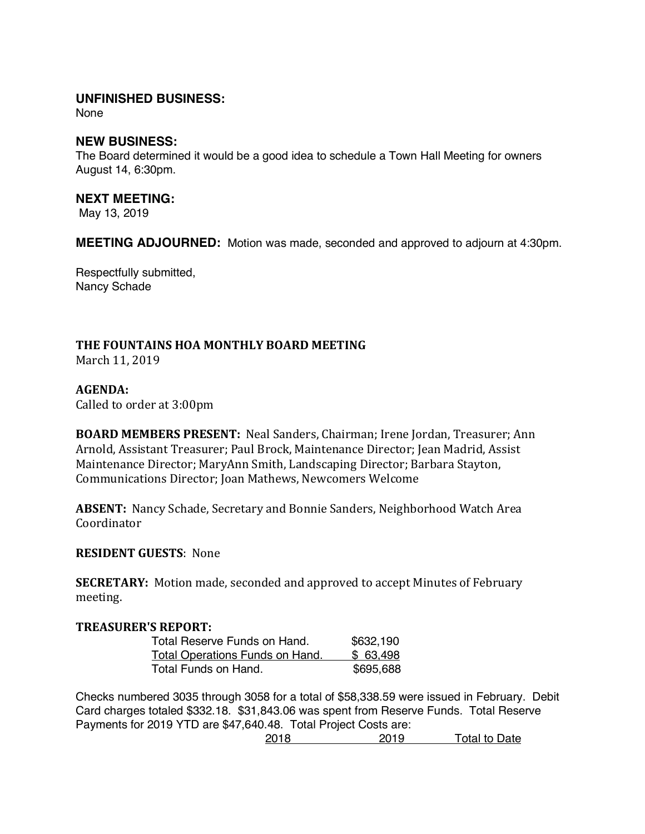# **UNFINISHED BUSINESS:**

None

#### **NEW BUSINESS:**

The Board determined it would be a good idea to schedule a Town Hall Meeting for owners August 14, 6:30pm.

#### **NEXT MEETING:**

May 13, 2019

**MEETING ADJOURNED:** Motion was made, seconded and approved to adjourn at 4:30pm.

Respectfully submitted, Nancy Schade

# **THE FOUNTAINS HOA MONTHLY BOARD MEETING**

March 11, 2019

#### **AGENDA:**

Called to order at 3:00pm

**BOARD MEMBERS PRESENT:** Neal Sanders, Chairman; Irene Jordan, Treasurer; Ann Arnold, Assistant Treasurer; Paul Brock, Maintenance Director; Jean Madrid, Assist Maintenance Director; MaryAnn Smith, Landscaping Director; Barbara Stayton, Communications Director; Joan Mathews, Newcomers Welcome

**ABSENT:** Nancy Schade, Secretary and Bonnie Sanders, Neighborhood Watch Area Coordinator

# **RESIDENT GUESTS: None**

**SECRETARY:** Motion made, seconded and approved to accept Minutes of February meeting.

#### **TREASURER'S REPORT:**

| Total Reserve Funds on Hand.           | \$632,190 |
|----------------------------------------|-----------|
| <u>Total Operations Funds on Hand.</u> | \$63,498  |
| Total Funds on Hand.                   | \$695,688 |

Checks numbered 3035 through 3058 for a total of \$58,338.59 were issued in February. Debit Card charges totaled \$332.18. \$31,843.06 was spent from Reserve Funds. Total Reserve Payments for 2019 YTD are \$47,640.48. Total Project Costs are:

2018 2019 Total to Date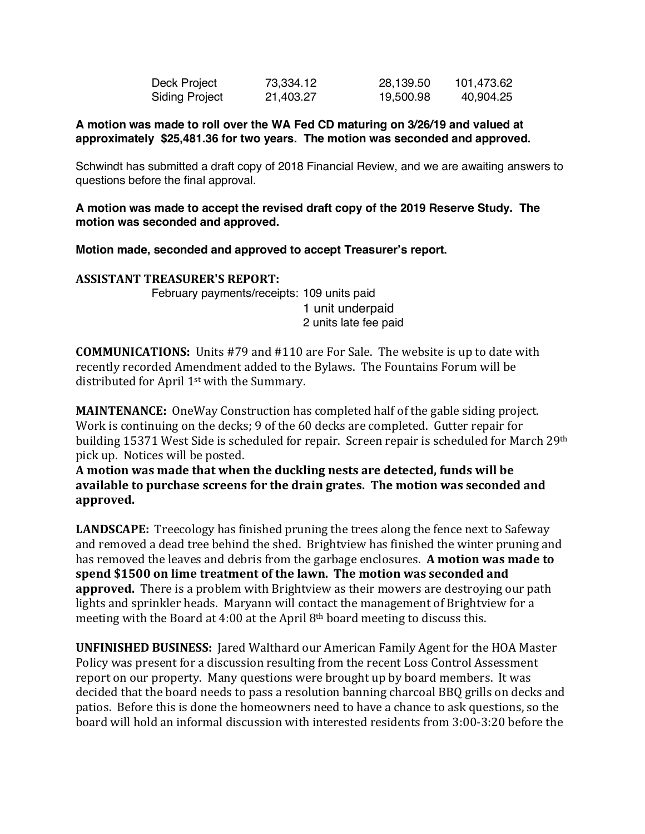| Deck Project          | 73,334.12 | 28,139.50 | 101,473.62 |
|-----------------------|-----------|-----------|------------|
| <b>Siding Project</b> | 21,403.27 | 19,500.98 | 40,904.25  |

#### **A motion was made to roll over the WA Fed CD maturing on 3/26/19 and valued at approximately \$25,481.36 for two years. The motion was seconded and approved.**

Schwindt has submitted a draft copy of 2018 Financial Review, and we are awaiting answers to questions before the final approval.

## **A motion was made to accept the revised draft copy of the 2019 Reserve Study. The motion was seconded and approved.**

**Motion made, seconded and approved to accept Treasurer's report.**

# **ASSISTANT TREASURER'S REPORT:**

February payments/receipts: 109 units paid 1 unit underpaid 2 units late fee paid

**COMMUNICATIONS:** Units #79 and #110 are For Sale. The website is up to date with recently recorded Amendment added to the Bylaws. The Fountains Forum will be distributed for April  $1<sup>st</sup>$  with the Summary.

**MAINTENANCE:** OneWay Construction has completed half of the gable siding project. Work is continuing on the decks; 9 of the 60 decks are completed. Gutter repair for building 15371 West Side is scheduled for repair. Screen repair is scheduled for March 29<sup>th</sup> pick up. Notices will be posted.

A motion was made that when the duckling nests are detected, funds will be **available to purchase screens for the drain grates. The motion was seconded and** approved.

**LANDSCAPE:** Treecology has finished pruning the trees along the fence next to Safeway and removed a dead tree behind the shed. Brightview has finished the winter pruning and has removed the leaves and debris from the garbage enclosures. A motion was made to spend \$1500 on lime treatment of the lawn. The motion was seconded and **approved.** There is a problem with Brightview as their mowers are destroying our path lights and sprinkler heads. Maryann will contact the management of Brightview for a meeting with the Board at 4:00 at the April  $8<sup>th</sup>$  board meeting to discuss this.

**UNFINISHED BUSINESS:** Jared Walthard our American Family Agent for the HOA Master Policy was present for a discussion resulting from the recent Loss Control Assessment report on our property. Many questions were brought up by board members. It was decided that the board needs to pass a resolution banning charcoal BBQ grills on decks and patios. Before this is done the homeowners need to have a chance to ask questions, so the board will hold an informal discussion with interested residents from  $3:00-3:20$  before the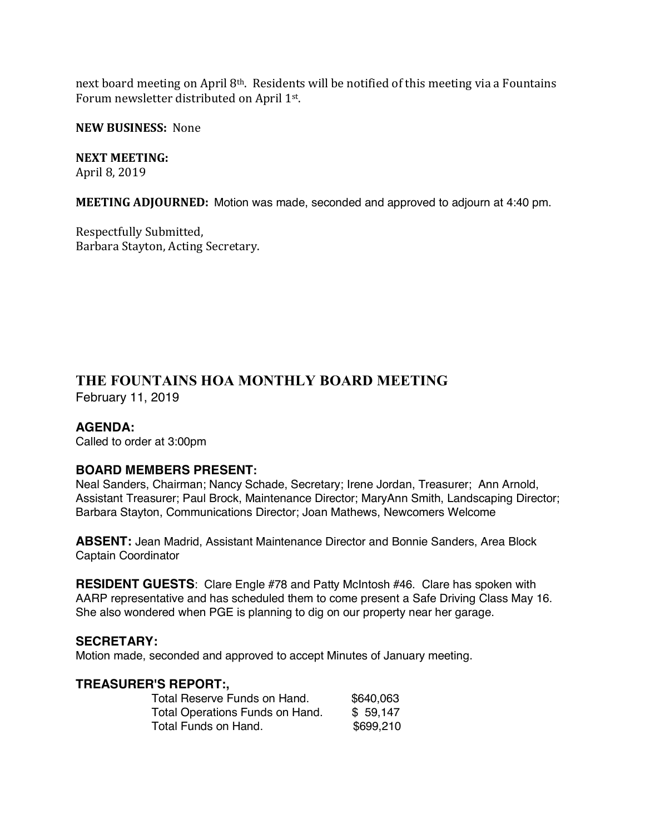next board meeting on April  $8<sup>th</sup>$ . Residents will be notified of this meeting via a Fountains Forum newsletter distributed on April 1<sup>st</sup>.

**NEW BUSINESS: None** 

#### **NEXT MEETING:**

April 8, 2019

**MEETING ADJOURNED:** Motion was made, seconded and approved to adjourn at 4:40 pm.

Respectfully Submitted, Barbara Stayton, Acting Secretary.

# **THE FOUNTAINS HOA MONTHLY BOARD MEETING**

February 11, 2019

# **AGENDA:**

Called to order at 3:00pm

# **BOARD MEMBERS PRESENT:**

Neal Sanders, Chairman; Nancy Schade, Secretary; Irene Jordan, Treasurer; Ann Arnold, Assistant Treasurer; Paul Brock, Maintenance Director; MaryAnn Smith, Landscaping Director; Barbara Stayton, Communications Director; Joan Mathews, Newcomers Welcome

**ABSENT:** Jean Madrid, Assistant Maintenance Director and Bonnie Sanders, Area Block Captain Coordinator

**RESIDENT GUESTS**: Clare Engle #78 and Patty McIntosh #46. Clare has spoken with AARP representative and has scheduled them to come present a Safe Driving Class May 16. She also wondered when PGE is planning to dig on our property near her garage.

#### **SECRETARY:**

Motion made, seconded and approved to accept Minutes of January meeting.

#### **TREASURER'S REPORT:,**

| \$640,063 |
|-----------|
| \$59,147  |
| \$699,210 |
|           |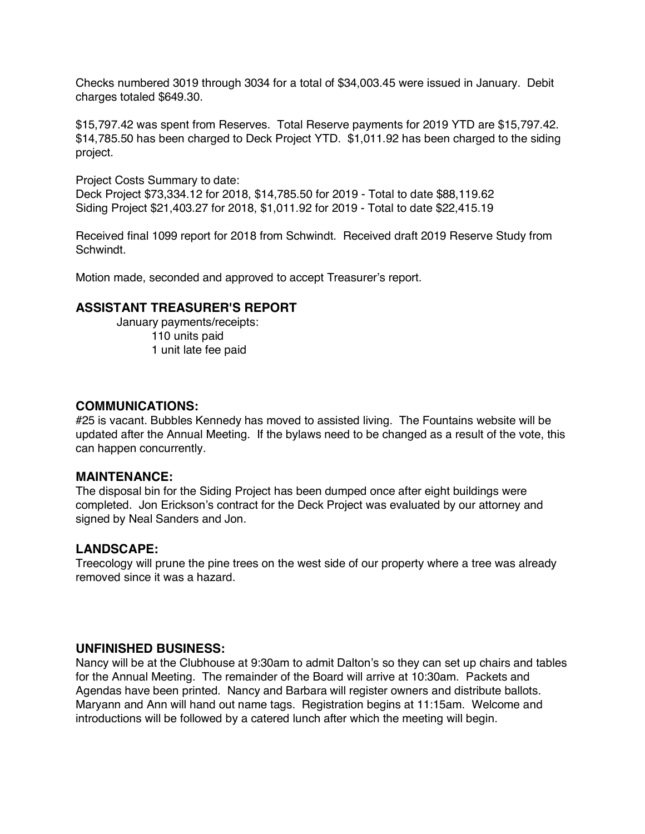Checks numbered 3019 through 3034 for a total of \$34,003.45 were issued in January. Debit charges totaled \$649.30.

\$15,797.42 was spent from Reserves. Total Reserve payments for 2019 YTD are \$15,797.42. \$14,785.50 has been charged to Deck Project YTD. \$1,011.92 has been charged to the siding project.

Project Costs Summary to date: Deck Project \$73,334.12 for 2018, \$14,785.50 for 2019 - Total to date \$88,119.62 Siding Project \$21,403.27 for 2018, \$1,011.92 for 2019 - Total to date \$22,415.19

Received final 1099 report for 2018 from Schwindt. Received draft 2019 Reserve Study from Schwindt.

Motion made, seconded and approved to accept Treasurer's report.

# **ASSISTANT TREASURER'S REPORT**

January payments/receipts: 110 units paid 1 unit late fee paid

## **COMMUNICATIONS:**

#25 is vacant. Bubbles Kennedy has moved to assisted living. The Fountains website will be updated after the Annual Meeting. If the bylaws need to be changed as a result of the vote, this can happen concurrently.

#### **MAINTENANCE:**

The disposal bin for the Siding Project has been dumped once after eight buildings were completed. Jon Erickson's contract for the Deck Project was evaluated by our attorney and signed by Neal Sanders and Jon.

#### **LANDSCAPE:**

Treecology will prune the pine trees on the west side of our property where a tree was already removed since it was a hazard.

#### **UNFINISHED BUSINESS:**

Nancy will be at the Clubhouse at 9:30am to admit Dalton's so they can set up chairs and tables for the Annual Meeting. The remainder of the Board will arrive at 10:30am. Packets and Agendas have been printed. Nancy and Barbara will register owners and distribute ballots. Maryann and Ann will hand out name tags. Registration begins at 11:15am. Welcome and introductions will be followed by a catered lunch after which the meeting will begin.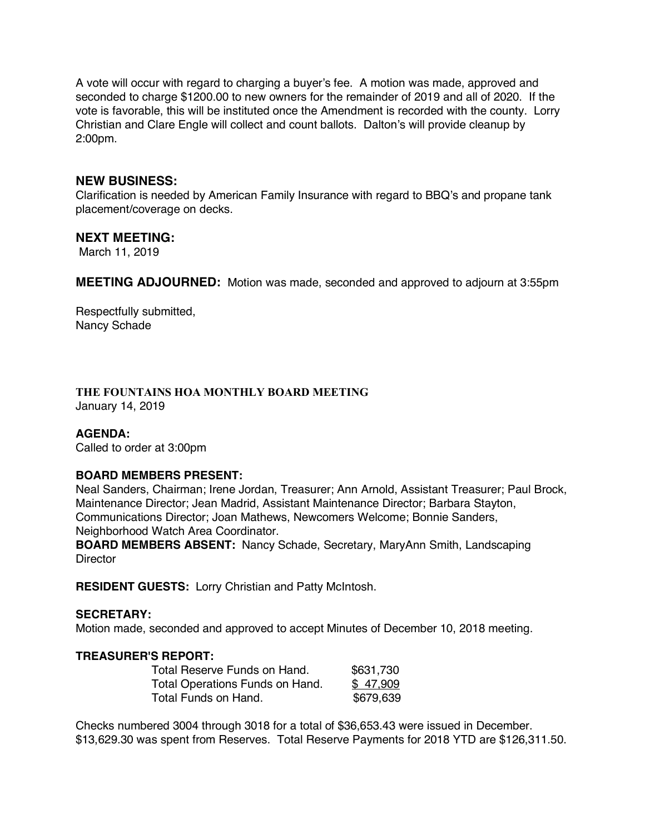A vote will occur with regard to charging a buyer's fee. A motion was made, approved and seconded to charge \$1200.00 to new owners for the remainder of 2019 and all of 2020. If the vote is favorable, this will be instituted once the Amendment is recorded with the county. Lorry Christian and Clare Engle will collect and count ballots. Dalton's will provide cleanup by 2:00pm.

#### **NEW BUSINESS:**

Clarification is needed by American Family Insurance with regard to BBQ's and propane tank placement/coverage on decks.

#### **NEXT MEETING:**

March 11, 2019

**MEETING ADJOURNED:** Motion was made, seconded and approved to adjourn at 3:55pm

Respectfully submitted, Nancy Schade

#### **THE FOUNTAINS HOA MONTHLY BOARD MEETING** January 14, 2019

#### **AGENDA:**

Called to order at 3:00pm

#### **BOARD MEMBERS PRESENT:**

Neal Sanders, Chairman; Irene Jordan, Treasurer; Ann Arnold, Assistant Treasurer; Paul Brock, Maintenance Director; Jean Madrid, Assistant Maintenance Director; Barbara Stayton, Communications Director; Joan Mathews, Newcomers Welcome; Bonnie Sanders, Neighborhood Watch Area Coordinator.

**BOARD MEMBERS ABSENT:** Nancy Schade, Secretary, MaryAnn Smith, Landscaping **Director** 

**RESIDENT GUESTS:** Lorry Christian and Patty McIntosh.

#### **SECRETARY:**

Motion made, seconded and approved to accept Minutes of December 10, 2018 meeting.

#### **TREASURER'S REPORT:**

| Total Reserve Funds on Hand.    | \$631,730 |
|---------------------------------|-----------|
| Total Operations Funds on Hand. | \$47.909  |
| Total Funds on Hand.            | \$679,639 |

Checks numbered 3004 through 3018 for a total of \$36,653.43 were issued in December. \$13,629.30 was spent from Reserves. Total Reserve Payments for 2018 YTD are \$126,311.50.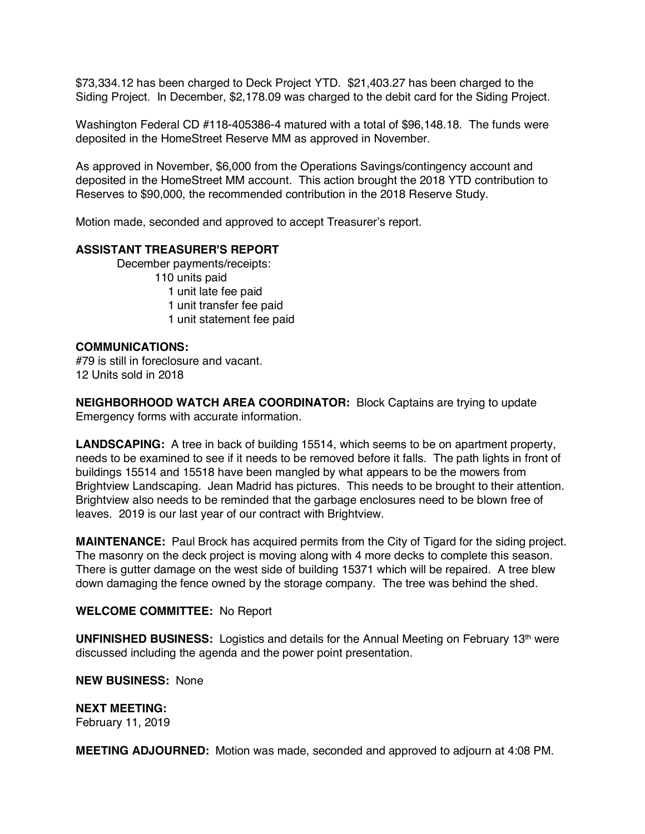\$73,334.12 has been charged to Deck Project YTD. \$21,403.27 has been charged to the Siding Project. In December, \$2,178.09 was charged to the debit card for the Siding Project.

Washington Federal CD #118-405386-4 matured with a total of \$96,148.18. The funds were deposited in the HomeStreet Reserve MM as approved in November.

As approved in November, \$6,000 from the Operations Savings/contingency account and deposited in the HomeStreet MM account. This action brought the 2018 YTD contribution to Reserves to \$90,000, the recommended contribution in the 2018 Reserve Study.

Motion made, seconded and approved to accept Treasurer's report.

# **ASSISTANT TREASURER'S REPORT**

December payments/receipts: 110 units paid 1 unit late fee paid 1 unit transfer fee paid 1 unit statement fee paid

#### **COMMUNICATIONS:**

#79 is still in foreclosure and vacant. 12 Units sold in 2018

**NEIGHBORHOOD WATCH AREA COORDINATOR:** Block Captains are trying to update Emergency forms with accurate information.

**LANDSCAPING:** A tree in back of building 15514, which seems to be on apartment property, needs to be examined to see if it needs to be removed before it falls. The path lights in front of buildings 15514 and 15518 have been mangled by what appears to be the mowers from Brightview Landscaping. Jean Madrid has pictures. This needs to be brought to their attention. Brightview also needs to be reminded that the garbage enclosures need to be blown free of leaves. 2019 is our last year of our contract with Brightview.

**MAINTENANCE:** Paul Brock has acquired permits from the City of Tigard for the siding project. The masonry on the deck project is moving along with 4 more decks to complete this season. There is gutter damage on the west side of building 15371 which will be repaired. A tree blew down damaging the fence owned by the storage company. The tree was behind the shed.

#### **WELCOME COMMITTEE:** No Report

**UNFINISHED BUSINESS:** Logistics and details for the Annual Meeting on February 13th were discussed including the agenda and the power point presentation.

**NEW BUSINESS:** None

**NEXT MEETING:** 

February 11, 2019

**MEETING ADJOURNED:** Motion was made, seconded and approved to adjourn at 4:08 PM.